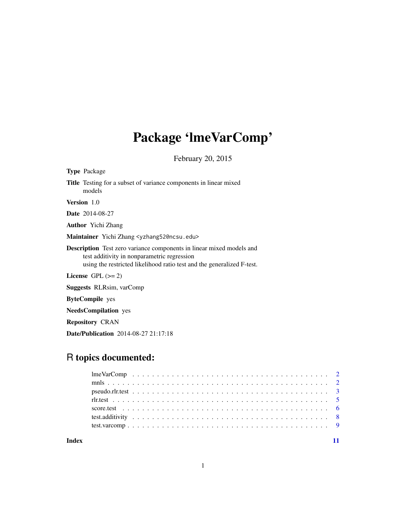## Package 'lmeVarComp'

February 20, 2015

| <b>Type Package</b>                                                                                                                                                                                  |
|------------------------------------------------------------------------------------------------------------------------------------------------------------------------------------------------------|
| <b>Title</b> Testing for a subset of variance components in linear mixed<br>models                                                                                                                   |
| <b>Version</b> 1.0                                                                                                                                                                                   |
| <b>Date</b> 2014-08-27                                                                                                                                                                               |
| <b>Author</b> Yichi Zhang                                                                                                                                                                            |
| Maintainer Yichi Zhang <yzhang52@ncsu.edu></yzhang52@ncsu.edu>                                                                                                                                       |
| <b>Description</b> Test zero variance components in linear mixed models and<br>test additivity in nonparametric regression<br>using the restricted likelihood ratio test and the generalized F-test. |
| License $GPL \, (= 2)$                                                                                                                                                                               |
| <b>Suggests RLRsim, varComp</b>                                                                                                                                                                      |
| <b>ByteCompile</b> yes                                                                                                                                                                               |
| <b>NeedsCompilation</b> yes                                                                                                                                                                          |

Repository CRAN

Date/Publication 2014-08-27 21:17:18

## R topics documented:

| Index |  |  |  |  |  |  |  |  |  |  |  |  |  |  |  |  |  |  |  |
|-------|--|--|--|--|--|--|--|--|--|--|--|--|--|--|--|--|--|--|--|
|       |  |  |  |  |  |  |  |  |  |  |  |  |  |  |  |  |  |  |  |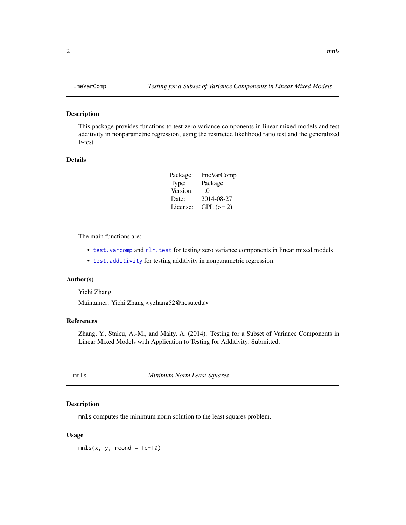## Description

This package provides functions to test zero variance components in linear mixed models and test additivity in nonparametric regression, using the restricted likelihood ratio test and the generalized F-test.

#### Details

| Package: | lmeVarComp |
|----------|------------|
| Type:    | Package    |
| Version: | 1.0        |
| Date:    | 2014-08-27 |
| License: | $GPL (=2)$ |

The main functions are:

- test. varcomp and rlr. test for testing zero variance components in linear mixed models.
- [test.additivity](#page-7-1) for testing additivity in nonparametric regression.

### Author(s)

Yichi Zhang

Maintainer: Yichi Zhang <yzhang52@ncsu.edu>

## References

Zhang, Y., Staicu, A.-M., and Maity, A. (2014). Testing for a Subset of Variance Components in Linear Mixed Models with Application to Testing for Additivity. Submitted.

mnls *Minimum Norm Least Squares*

## Description

mnls computes the minimum norm solution to the least squares problem.

#### Usage

 $mls(x, y, rcond = 1e-10)$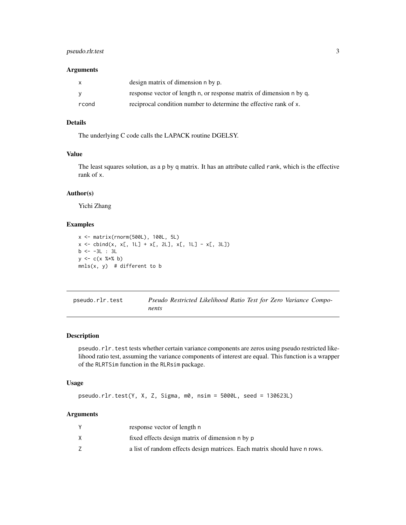## <span id="page-2-0"></span>pseudo.rlr.test 3

### Arguments

| X     | design matrix of dimension n by p.                                   |
|-------|----------------------------------------------------------------------|
|       | response vector of length n, or response matrix of dimension n by q. |
| rcond | reciprocal condition number to determine the effective rank of x.    |

#### Details

The underlying C code calls the LAPACK routine DGELSY.

## Value

The least squares solution, as a p by q matrix. It has an attribute called rank, which is the effective rank of x.

## Author(s)

Yichi Zhang

#### Examples

```
x <- matrix(rnorm(500L), 100L, 5L)
x \le - \text{cbind}(x, x[, 1L] + x[, 2L], x[, 1L] - x[, 3L])b \leftarrow -3L : 3Ly \leq -c(x %<i>x</i> % b)mnls(x, y) # different to b
```
<span id="page-2-1"></span>

| pseudo.rlr.test |       | Pseudo Restricted Likelihood Ratio Test for Zero Variance Compo- |  |  |  |
|-----------------|-------|------------------------------------------------------------------|--|--|--|
|                 | nents |                                                                  |  |  |  |

## Description

pseudo.rlr.test tests whether certain variance components are zeros using pseudo restricted likelihood ratio test, assuming the variance components of interest are equal. This function is a wrapper of the RLRTSim function in the RLRsim package.

## Usage

pseudo.rlr.test(Y, X, Z, Sigma, m0, nsim = 5000L, seed = 130623L)

## Arguments

| response vector of length n                                               |
|---------------------------------------------------------------------------|
| fixed effects design matrix of dimension n by p                           |
| a list of random effects design matrices. Each matrix should have n rows. |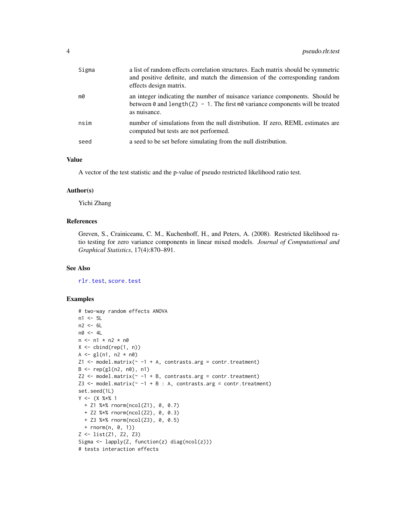<span id="page-3-0"></span>

| Sigma | a list of random effects correlation structures. Each matrix should be symmetric<br>and positive definite, and match the dimension of the corresponding random<br>effects design matrix. |
|-------|------------------------------------------------------------------------------------------------------------------------------------------------------------------------------------------|
| mØ    | an integer indicating the number of nuisance variance components. Should be<br>between 0 and length( $Z$ ) - 1. The first m0 variance components will be treated<br>as nuisance.         |
| nsim  | number of simulations from the null distribution. If zero, REML estimates are<br>computed but tests are not performed.                                                                   |
| seed  | a seed to be set before simulating from the null distribution.                                                                                                                           |

## Value

A vector of the test statistic and the p-value of pseudo restricted likelihood ratio test.

#### Author(s)

Yichi Zhang

### References

Greven, S., Crainiceanu, C. M., Kuchenhoff, H., and Peters, A. (2008). Restricted likelihood ratio testing for zero variance components in linear mixed models. *Journal of Computational and Graphical Statistics*, 17(4):870–891.

#### See Also

[rlr.test](#page-4-1), [score.test](#page-5-1)

## Examples

```
# two-way random effects ANOVA
n1 <- 5L
n2 <- 6L
n0 <- 4L
n \leq -n1 \times n2 \times n0X \leftarrow \text{cbind}(\text{rep}(1, n))A \leq g1(n1, n2 * n0)Z1 <- model.matrix(\sim -1 + A, contrasts.arg = contr.treatment)
B \leq -\text{rep}(gl(n2, n0), n1)Z2 \leq model_matrix(\sim -1 + B, contrasts.argv = contr.treatment)Z3 \leq model_matrix(\sim -1 + B : A, contrasts.argv = contr.treatment)set.seed(1L)
Y \leq - (X % * X 1)+ Z1 %*% rnorm(ncol(Z1), 0, 0.7)
  + Z2 %*% rnorm(ncol(Z2), 0, 0.3)
  + Z3 %*% rnorm(ncol(Z3), 0, 0.5)
  + rnorm(n, 0, 1))
Z <- list(Z1, Z2, Z3)
Sigma \leftarrow lapply(Z, function(z) diag(ncol(z)))
# tests interaction effects
```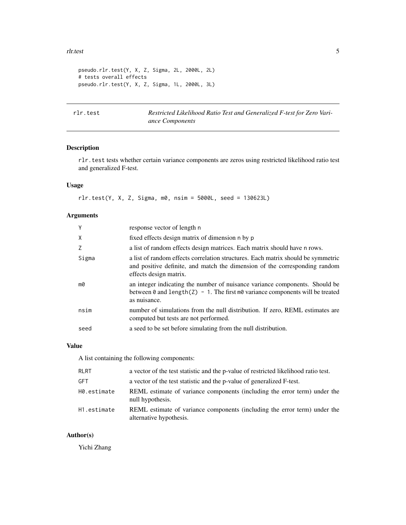#### <span id="page-4-0"></span>rlr.test 5

```
pseudo.rlr.test(Y, X, Z, Sigma, 2L, 2000L, 2L)
# tests overall effects
pseudo.rlr.test(Y, X, Z, Sigma, 1L, 2000L, 3L)
```
<span id="page-4-1"></span>rlr.test *Restricted Likelihood Ratio Test and Generalized F-test for Zero Variance Components*

## Description

rlr.test tests whether certain variance components are zeros using restricted likelihood ratio test and generalized F-test.

## Usage

rlr.test(Y, X, Z, Sigma, m0, nsim = 5000L, seed = 130623L)

## Arguments

| Υ     | response vector of length n                                                                                                                                                              |
|-------|------------------------------------------------------------------------------------------------------------------------------------------------------------------------------------------|
| X     | fixed effects design matrix of dimension n by p                                                                                                                                          |
| 7     | a list of random effects design matrices. Each matrix should have n rows.                                                                                                                |
| Sigma | a list of random effects correlation structures. Each matrix should be symmetric<br>and positive definite, and match the dimension of the corresponding random<br>effects design matrix. |
| mØ    | an integer indicating the number of nuisance variance components. Should be<br>between 0 and length( $Z$ ) - 1. The first m0 variance components will be treated<br>as nuisance.         |
| nsim  | number of simulations from the null distribution. If zero, REML estimates are<br>computed but tests are not performed.                                                                   |
| seed  | a seed to be set before simulating from the null distribution.                                                                                                                           |
|       |                                                                                                                                                                                          |

#### Value

A list containing the following components:

| <b>RLRT</b> | a vector of the test statistic and the p-value of restricted likelihood ratio test.                  |
|-------------|------------------------------------------------------------------------------------------------------|
| GFT         | a vector of the test statistic and the p-value of generalized F-test.                                |
| H0.estimate | REML estimate of variance components (including the error term) under the<br>null hypothesis.        |
| H1.estimate | REML estimate of variance components (including the error term) under the<br>alternative hypothesis. |

## Author(s)

Yichi Zhang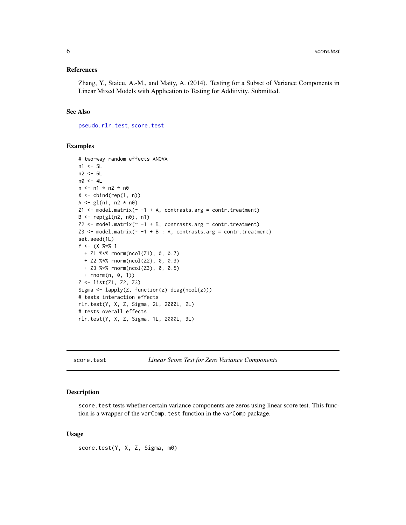#### <span id="page-5-0"></span>References

Zhang, Y., Staicu, A.-M., and Maity, A. (2014). Testing for a Subset of Variance Components in Linear Mixed Models with Application to Testing for Additivity. Submitted.

#### See Also

[pseudo.rlr.test](#page-2-1), [score.test](#page-5-1)

## Examples

```
# two-way random effects ANOVA
n1 <- 5L
n2 < - 6Ln0 <- 4L
n <- n1 * n2 * n0X \leftarrow \text{cbind}(\text{rep}(1, n))A \leq g1(n1, n2 * n0)Z1 <- model.matrix(\sim -1 + A, contrasts.arg = contr.treatment)
B \leftarrow rep(g1(n2, n0), n1)Z2 \leq m \cdot \text{model.matrix}(\sim -1 + B, \text{ contrasts.arg} = \text{contr.treatment})Z3 \leq model_matrix(\sim -1 + B : A, contrasts.argv = contr.treatment)set.seed(1L)
Y \leq - (X \ % * \ X \ 1)+ Z1 %*% rnorm(ncol(Z1), 0, 0.7)
  + Z2 %*% rnorm(ncol(Z2), 0, 0.3)
  + Z3 %*% rnorm(ncol(Z3), 0, 0.5)
  + rnorm(n, 0, 1))
Z <- list(Z1, Z2, Z3)
Sigma <- lapply(Z, function(z) diag(ncol(z)))
# tests interaction effects
rlr.test(Y, X, Z, Sigma, 2L, 2000L, 2L)
# tests overall effects
rlr.test(Y, X, Z, Sigma, 1L, 2000L, 3L)
```
<span id="page-5-1"></span>score.test *Linear Score Test for Zero Variance Components*

#### Description

score. test tests whether certain variance components are zeros using linear score test. This function is a wrapper of the varComp.test function in the varComp package.

#### Usage

score.test(Y, X, Z, Sigma, m0)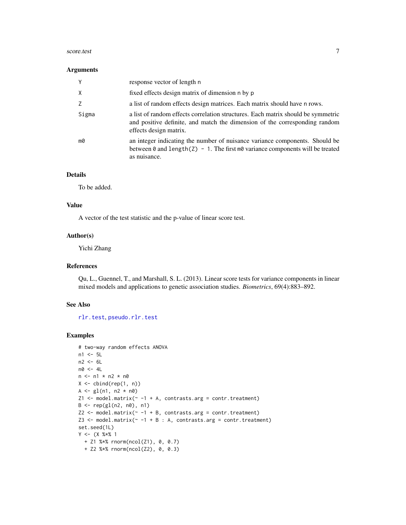#### <span id="page-6-0"></span>score.test 7

#### Arguments

| Y            | response vector of length n                                                                                                                                                              |
|--------------|------------------------------------------------------------------------------------------------------------------------------------------------------------------------------------------|
| $\mathsf{X}$ | fixed effects design matrix of dimension n by p                                                                                                                                          |
|              | a list of random effects design matrices. Each matrix should have n rows.                                                                                                                |
| Sigma        | a list of random effects correlation structures. Each matrix should be symmetric<br>and positive definite, and match the dimension of the corresponding random<br>effects design matrix. |
| mØ           | an integer indicating the number of nuisance variance components. Should be<br>between 0 and length( $Z$ ) - 1. The first m0 variance components will be treated<br>as nuisance.         |

## Details

To be added.

## Value

A vector of the test statistic and the p-value of linear score test.

#### Author(s)

Yichi Zhang

## References

Qu, L., Guennel, T., and Marshall, S. L. (2013). Linear score tests for variance components in linear mixed models and applications to genetic association studies. *Biometrics*, 69(4):883–892.

## See Also

[rlr.test](#page-4-1), [pseudo.rlr.test](#page-2-1)

## Examples

```
# two-way random effects ANOVA
n1 <- 5L
n2 < -6Ln0 <- 4L
n \leq -n1 \times n2 \times n0X \leftarrow \text{cbind}(\text{rep}(1, n))A \leftarrow gl(n1, n2 * n0)Z1 <- model.matrix(\sim -1 + A, contrasts.arg = contr.treatment)
B \leq - rep(g1(n2, n0), n1)Z2 \leq model_matrix(\sim -1 + B, contrasts.argv = contr.treatment)Z3 <- model.matrix(\sim -1 + B : A, contrasts.arg = contr.treatment)
set.seed(1L)
Y \leq - (X % * X 1)+ Z1 %*% rnorm(ncol(Z1), 0, 0.7)
  + Z2 %*% rnorm(ncol(Z2), 0, 0.3)
```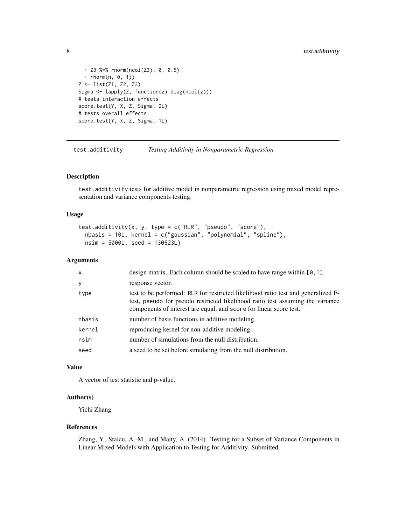```
+ Z3 %*% rnorm(ncol(Z3), 0, 0.5)
 + rnorm(n, 0, 1))
Z <- list(Z1, Z2, Z3)
Sigma <- lapply(Z, function(z) diag(ncol(z)))
# tests interaction effects
score.test(Y, X, Z, Sigma, 2L)
# tests overall effects
score.test(Y, X, Z, Sigma, 1L)
```
<span id="page-7-1"></span>test.additivity *Testing Additivity in Nonparametric Regression*

#### Description

test.additivity tests for additive model in nonparametric regression using mixed model representation and variance components testing.

## Usage

```
test.additivity(x, y, type = c("RLR", "pseudo", "score"),
  nbasis = 10L, kernel = c("gaussian", "polynomial", "spline"),
 nsim = 5000L, seed = 130623L)
```
#### Arguments

| $\mathsf{x}$ | design matrix. Each column should be scaled to have range within $[0, 1]$ .                                                                                                                                                               |
|--------------|-------------------------------------------------------------------------------------------------------------------------------------------------------------------------------------------------------------------------------------------|
| y            | response vector.                                                                                                                                                                                                                          |
| type         | test to be performed: RLR for restricted likelihood ratio test and generalized F-<br>test, pseudo for pseudo restricted likelihood ratio test assuming the variance<br>components of interest are equal, and score for linear score test. |
| nbasis       | number of basis functions in additive modeling.                                                                                                                                                                                           |
| kernel       | reproducing kernel for non-additive modeling.                                                                                                                                                                                             |
| nsim         | number of simulations from the null distribution.                                                                                                                                                                                         |
| seed         | a seed to be set before simulating from the null distribution.                                                                                                                                                                            |

#### Value

A vector of test statistic and p-value.

## Author(s)

Yichi Zhang

## References

Zhang, Y., Staicu, A.-M., and Maity, A. (2014). Testing for a Subset of Variance Components in Linear Mixed Models with Application to Testing for Additivity. Submitted.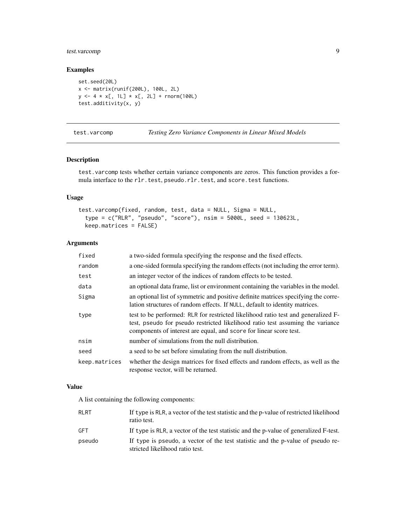## <span id="page-8-0"></span>test.varcomp 9

## Examples

```
set.seed(20L)
x <- matrix(runif(200L), 100L, 2L)
y <- 4 * x[, 1L] * x[, 2L] + rnorm(100L)
test.additivity(x, y)
```
<span id="page-8-1"></span>test.varcomp *Testing Zero Variance Components in Linear Mixed Models*

## Description

test.varcomp tests whether certain variance components are zeros. This function provides a formula interface to the rlr.test, pseudo.rlr.test, and score.test functions.

## Usage

```
test.varcomp(fixed, random, test, data = NULL, Sigma = NULL,
  type = c("RLR", "pseudo", "score"), nsim = 5000L, seed = 130623L,
 keep.matrices = FALSE)
```
## Arguments

| fixed         | a two-sided formula specifying the response and the fixed effects.                                                                                                                                                                        |
|---------------|-------------------------------------------------------------------------------------------------------------------------------------------------------------------------------------------------------------------------------------------|
| random        | a one-sided formula specifying the random effects (not including the error term).                                                                                                                                                         |
| test          | an integer vector of the indices of random effects to be tested.                                                                                                                                                                          |
| data          | an optional data frame, list or environment containing the variables in the model.                                                                                                                                                        |
| Sigma         | an optional list of symmetric and positive definite matrices specifying the corre-<br>lation structures of random effects. If NULL, default to identity matrices.                                                                         |
| type          | test to be performed: RLR for restricted likelihood ratio test and generalized F-<br>test, pseudo for pseudo restricted likelihood ratio test assuming the variance<br>components of interest are equal, and score for linear score test. |
| nsim          | number of simulations from the null distribution.                                                                                                                                                                                         |
| seed          | a seed to be set before simulating from the null distribution.                                                                                                                                                                            |
| keep.matrices | whether the design matrices for fixed effects and random effects, as well as the<br>response vector, will be returned.                                                                                                                    |

## Value

A list containing the following components:

| <b>RLRT</b> | If type is RLR, a vector of the test statistic and the p-value of restricted likelihood<br>ratio test.             |
|-------------|--------------------------------------------------------------------------------------------------------------------|
| <b>GFT</b>  | If type is RLR, a vector of the test statistic and the p-value of generalized F-test.                              |
| pseudo      | If type is pseudo, a vector of the test statistic and the p-value of pseudo re-<br>stricted likelihood ratio test. |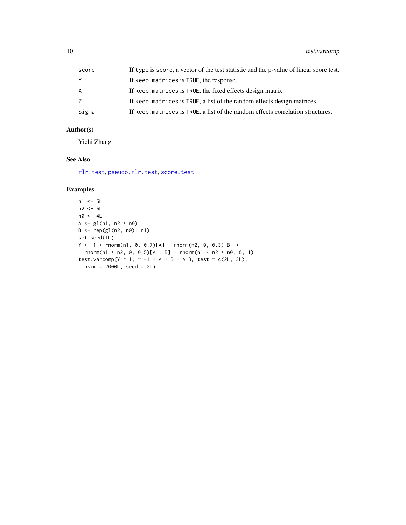<span id="page-9-0"></span>

| score | If type is score, a vector of the test statistic and the p-value of linear score test. |
|-------|----------------------------------------------------------------------------------------|
|       | If keep. matrices is TRUE, the response.                                               |
| X     | If keep matrices is TRUE, the fixed effects design matrix.                             |
|       | If keep matrices is TRUE, a list of the random effects design matrices.                |
| Sigma | If keep matrices is TRUE, a list of the random effects correlation structures.         |

## Author(s)

Yichi Zhang

## See Also

[rlr.test](#page-4-1), [pseudo.rlr.test](#page-2-1), [score.test](#page-5-1)

## Examples

```
n1 < -5Ln2 < - 6Ln0 <- 4L
A \leq g1(n1, n2 * n0)B <- rep(gl(n2, n0), n1)
set.seed(1L)
Y <- 1 + rnorm(n1, 0, 0.7)[A] + rnorm(n2, 0, 0.3)[B] +
  rnorm(n1 * n2, 0, 0.5)[A : B] + rnorm(n1 * n2 * n0, 0, 1)
test.varcomp(Y ~ 1, ~ -1 + A + B + A:B, test = c(2L, 3L),
  nsim = 2000L, seed = 2L)
```